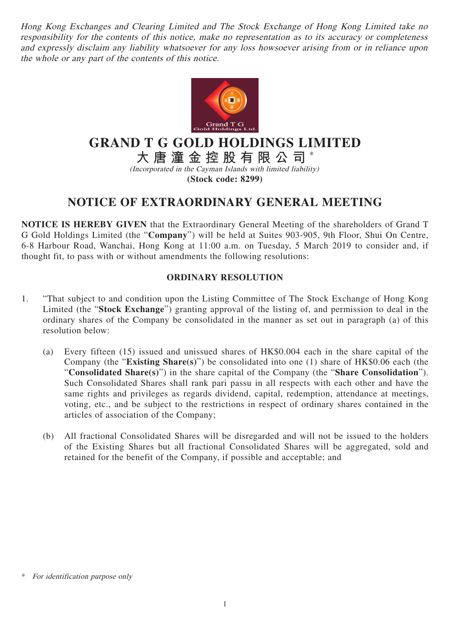Hong Kong Exchanges and Clearing Limited and The Stock Exchange of Hong Kong Limited take no responsibility for the contents of this notice, make no representation as to its accuracy or completeness and expressly disclaim any liability whatsoever for any loss howsoever arising from or in reliance upon the whole or any part of the contents of this notice.



## **GRAND T G GOLD HOLDINGS LIMITED**

**大唐潼金控股有限公司** \*

(Incorporated in the Cayman Islands with limited liability) **(Stock code: 8299)**

## **NOTICE OF EXTRAORDINARY GENERAL MEETING**

**NOTICE IS HEREBY GIVEN** that the Extraordinary General Meeting of the shareholders of Grand T G Gold Holdings Limited (the "**Company**") will be held at Suites 903-905, 9th Floor, Shui On Centre, 6-8 Harbour Road, Wanchai, Hong Kong at 11:00 a.m. on Tuesday, 5 March 2019 to consider and, if thought fit, to pass with or without amendments the following resolutions:

## **ORDINARY RESOLUTION**

- 1. "That subject to and condition upon the Listing Committee of The Stock Exchange of Hong Kong Limited (the "**Stock Exchange**") granting approval of the listing of, and permission to deal in the ordinary shares of the Company be consolidated in the manner as set out in paragraph (a) of this resolution below:
	- (a) Every fifteen (15) issued and unissued shares of HK\$0.004 each in the share capital of the Company (the "**Existing Share(s)**") be consolidated into one (1) share of HK\$0.06 each (the "**Consolidated Share(s)**") in the share capital of the Company (the "**Share Consolidation**"). Such Consolidated Shares shall rank pari passu in all respects with each other and have the same rights and privileges as regards dividend, capital, redemption, attendance at meetings, voting, etc., and be subject to the restrictions in respect of ordinary shares contained in the articles of association of the Company;
	- (b) All fractional Consolidated Shares will be disregarded and will not be issued to the holders of the Existing Shares but all fractional Consolidated Shares will be aggregated, sold and retained for the benefit of the Company, if possible and acceptable; and

For identification purpose only